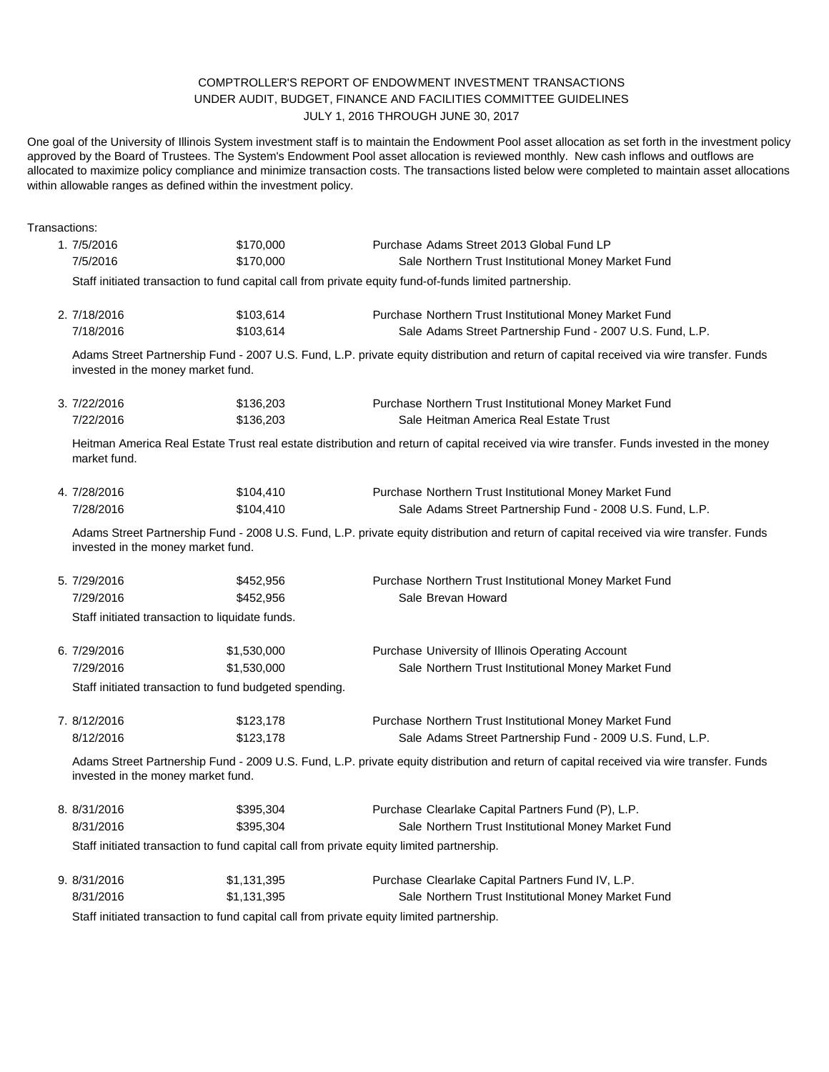## COMPTROLLER'S REPORT OF ENDOWMENT INVESTMENT TRANSACTIONS UNDER AUDIT, BUDGET, FINANCE AND FACILITIES COMMITTEE GUIDELINES JULY 1, 2016 THROUGH JUNE 30, 2017

One goal of the University of Illinois System investment staff is to maintain the Endowment Pool asset allocation as set forth in the investment policy approved by the Board of Trustees. The System's Endowment Pool asset allocation is reviewed monthly. New cash inflows and outflows are allocated to maximize policy compliance and minimize transaction costs. The transactions listed below were completed to maintain asset allocations within allowable ranges as defined within the investment policy.

| Transactions: |                                                                                                                                                                                |                                                 |                                                                                                                                          |  |  |
|---------------|--------------------------------------------------------------------------------------------------------------------------------------------------------------------------------|-------------------------------------------------|------------------------------------------------------------------------------------------------------------------------------------------|--|--|
|               | 1.7/5/2016                                                                                                                                                                     | \$170,000                                       | Purchase Adams Street 2013 Global Fund LP                                                                                                |  |  |
|               | 7/5/2016                                                                                                                                                                       | \$170,000                                       | Sale Northern Trust Institutional Money Market Fund                                                                                      |  |  |
|               | Staff initiated transaction to fund capital call from private equity fund-of-funds limited partnership.                                                                        |                                                 |                                                                                                                                          |  |  |
|               | 2. 7/18/2016                                                                                                                                                                   | \$103,614                                       | Purchase Northern Trust Institutional Money Market Fund                                                                                  |  |  |
|               | 7/18/2016                                                                                                                                                                      | \$103,614                                       | Sale Adams Street Partnership Fund - 2007 U.S. Fund, L.P.                                                                                |  |  |
|               | invested in the money market fund.                                                                                                                                             |                                                 | Adams Street Partnership Fund - 2007 U.S. Fund, L.P. private equity distribution and return of capital received via wire transfer. Funds |  |  |
|               | 3. 7/22/2016                                                                                                                                                                   | \$136,203                                       | Purchase Northern Trust Institutional Money Market Fund                                                                                  |  |  |
|               | 7/22/2016                                                                                                                                                                      | \$136,203                                       | Sale Heitman America Real Estate Trust                                                                                                   |  |  |
|               | market fund.                                                                                                                                                                   |                                                 | Heitman America Real Estate Trust real estate distribution and return of capital received via wire transfer. Funds invested in the money |  |  |
|               | 4.7/28/2016                                                                                                                                                                    | \$104,410                                       | Purchase Northern Trust Institutional Money Market Fund                                                                                  |  |  |
|               | 7/28/2016                                                                                                                                                                      | \$104,410                                       | Sale Adams Street Partnership Fund - 2008 U.S. Fund, L.P.                                                                                |  |  |
|               | invested in the money market fund.                                                                                                                                             |                                                 | Adams Street Partnership Fund - 2008 U.S. Fund, L.P. private equity distribution and return of capital received via wire transfer. Funds |  |  |
|               | 5. 7/29/2016                                                                                                                                                                   | \$452,956                                       | Purchase Northern Trust Institutional Money Market Fund                                                                                  |  |  |
|               | 7/29/2016                                                                                                                                                                      | \$452,956                                       | Sale Brevan Howard                                                                                                                       |  |  |
|               |                                                                                                                                                                                | Staff initiated transaction to liquidate funds. |                                                                                                                                          |  |  |
|               | 6. 7/29/2016                                                                                                                                                                   | \$1,530,000                                     | Purchase University of Illinois Operating Account                                                                                        |  |  |
|               | 7/29/2016                                                                                                                                                                      | \$1,530,000                                     | Sale Northern Trust Institutional Money Market Fund                                                                                      |  |  |
|               | Staff initiated transaction to fund budgeted spending.                                                                                                                         |                                                 |                                                                                                                                          |  |  |
|               | 7. 8/12/2016                                                                                                                                                                   | \$123,178                                       | Purchase Northern Trust Institutional Money Market Fund                                                                                  |  |  |
|               | 8/12/2016                                                                                                                                                                      | \$123,178                                       | Sale Adams Street Partnership Fund - 2009 U.S. Fund, L.P.                                                                                |  |  |
|               | Adams Street Partnership Fund - 2009 U.S. Fund, L.P. private equity distribution and return of capital received via wire transfer. Funds<br>invested in the money market fund. |                                                 |                                                                                                                                          |  |  |
|               | 8. 8/31/2016                                                                                                                                                                   | \$395,304                                       | Purchase Clearlake Capital Partners Fund (P), L.P.                                                                                       |  |  |
|               | 8/31/2016                                                                                                                                                                      | \$395,304                                       | Sale Northern Trust Institutional Money Market Fund                                                                                      |  |  |
|               |                                                                                                                                                                                |                                                 | Staff initiated transaction to fund capital call from private equity limited partnership.                                                |  |  |
|               | 9. 8/31/2016                                                                                                                                                                   | \$1,131,395                                     | Purchase Clearlake Capital Partners Fund IV, L.P.                                                                                        |  |  |
|               | 8/31/2016                                                                                                                                                                      | \$1,131,395                                     | Sale Northern Trust Institutional Money Market Fund                                                                                      |  |  |
|               |                                                                                                                                                                                |                                                 |                                                                                                                                          |  |  |

Staff initiated transaction to fund capital call from private equity limited partnership.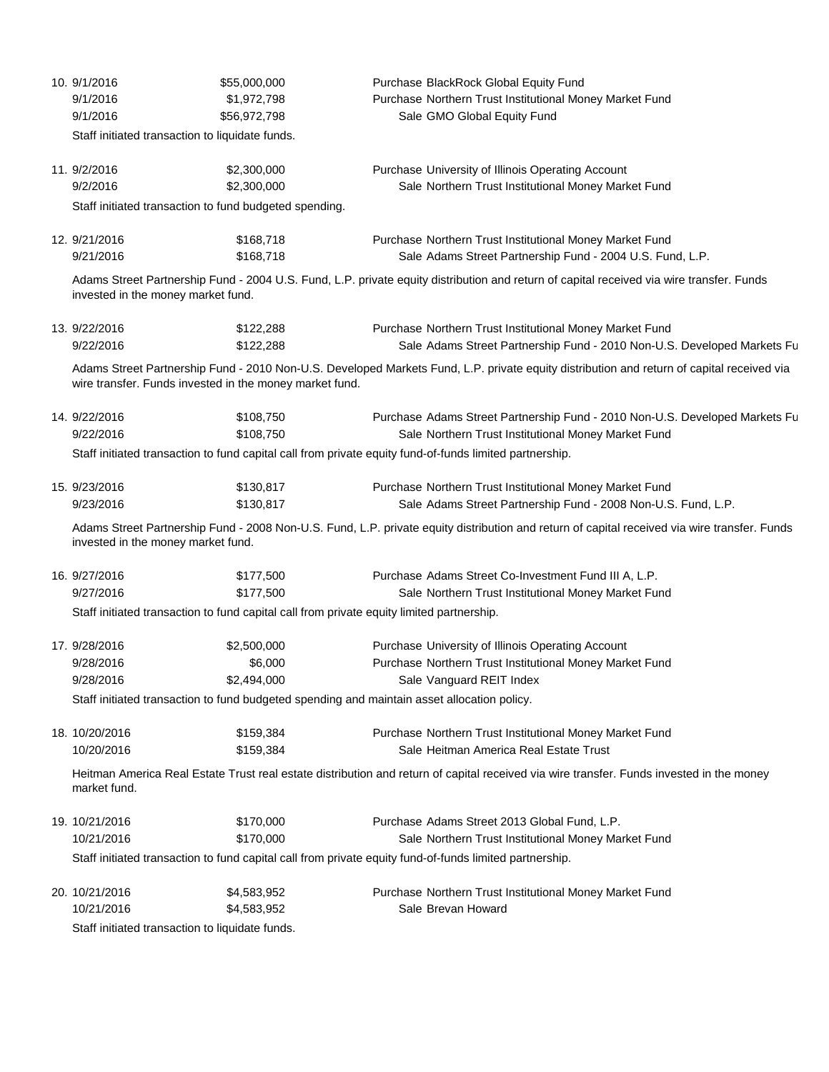|  | 10. 9/1/2016<br>9/1/2016<br>9/1/2016                                                                                                                                               | \$55,000,000<br>\$1,972,798<br>\$56,972,798                                                                                                                                    | Purchase BlackRock Global Equity Fund<br>Purchase Northern Trust Institutional Money Market Fund<br>Sale GMO Global Equity Fund                                                                                      |  |  |  |
|--|------------------------------------------------------------------------------------------------------------------------------------------------------------------------------------|--------------------------------------------------------------------------------------------------------------------------------------------------------------------------------|----------------------------------------------------------------------------------------------------------------------------------------------------------------------------------------------------------------------|--|--|--|
|  |                                                                                                                                                                                    | Staff initiated transaction to liquidate funds.                                                                                                                                |                                                                                                                                                                                                                      |  |  |  |
|  | 11. 9/2/2016<br>9/2/2016<br>Staff initiated transaction to fund budgeted spending.                                                                                                 | \$2,300,000<br>\$2,300,000                                                                                                                                                     | Purchase University of Illinois Operating Account<br>Sale Northern Trust Institutional Money Market Fund                                                                                                             |  |  |  |
|  |                                                                                                                                                                                    |                                                                                                                                                                                |                                                                                                                                                                                                                      |  |  |  |
|  | 12. 9/21/2016<br>9/21/2016                                                                                                                                                         | \$168,718<br>\$168,718                                                                                                                                                         | Purchase Northern Trust Institutional Money Market Fund<br>Sale Adams Street Partnership Fund - 2004 U.S. Fund, L.P.                                                                                                 |  |  |  |
|  |                                                                                                                                                                                    | Adams Street Partnership Fund - 2004 U.S. Fund, L.P. private equity distribution and return of capital received via wire transfer. Funds<br>invested in the money market fund. |                                                                                                                                                                                                                      |  |  |  |
|  | 13. 9/22/2016                                                                                                                                                                      | \$122,288                                                                                                                                                                      | Purchase Northern Trust Institutional Money Market Fund                                                                                                                                                              |  |  |  |
|  | 9/22/2016                                                                                                                                                                          | \$122,288                                                                                                                                                                      | Sale Adams Street Partnership Fund - 2010 Non-U.S. Developed Markets Fu<br>Adams Street Partnership Fund - 2010 Non-U.S. Developed Markets Fund, L.P. private equity distribution and return of capital received via |  |  |  |
|  | wire transfer. Funds invested in the money market fund.                                                                                                                            |                                                                                                                                                                                |                                                                                                                                                                                                                      |  |  |  |
|  | 14. 9/22/2016<br>9/22/2016                                                                                                                                                         | \$108,750<br>\$108,750                                                                                                                                                         | Purchase Adams Street Partnership Fund - 2010 Non-U.S. Developed Markets Fu<br>Sale Northern Trust Institutional Money Market Fund                                                                                   |  |  |  |
|  |                                                                                                                                                                                    | Staff initiated transaction to fund capital call from private equity fund-of-funds limited partnership.                                                                        |                                                                                                                                                                                                                      |  |  |  |
|  | 15. 9/23/2016<br>9/23/2016                                                                                                                                                         | \$130,817<br>\$130,817                                                                                                                                                         | Purchase Northern Trust Institutional Money Market Fund<br>Sale Adams Street Partnership Fund - 2008 Non-U.S. Fund, L.P.                                                                                             |  |  |  |
|  | Adams Street Partnership Fund - 2008 Non-U.S. Fund, L.P. private equity distribution and return of capital received via wire transfer. Funds<br>invested in the money market fund. |                                                                                                                                                                                |                                                                                                                                                                                                                      |  |  |  |
|  | 16. 9/27/2016<br>9/27/2016                                                                                                                                                         | \$177,500<br>\$177,500                                                                                                                                                         | Purchase Adams Street Co-Investment Fund III A, L.P.<br>Sale Northern Trust Institutional Money Market Fund                                                                                                          |  |  |  |
|  | Staff initiated transaction to fund capital call from private equity limited partnership.                                                                                          |                                                                                                                                                                                |                                                                                                                                                                                                                      |  |  |  |
|  | 17. 9/28/2016<br>9/28/2016                                                                                                                                                         | \$2,500,000<br>\$6,000                                                                                                                                                         | Purchase University of Illinois Operating Account<br>Purchase Northern Trust Institutional Money Market Fund                                                                                                         |  |  |  |
|  | 9/28/2016                                                                                                                                                                          | \$2,494,000                                                                                                                                                                    | Sale Vanguard REIT Index                                                                                                                                                                                             |  |  |  |
|  | Staff initiated transaction to fund budgeted spending and maintain asset allocation policy.                                                                                        |                                                                                                                                                                                |                                                                                                                                                                                                                      |  |  |  |
|  | 18. 10/20/2016<br>10/20/2016                                                                                                                                                       | \$159,384<br>\$159,384                                                                                                                                                         | Purchase Northern Trust Institutional Money Market Fund<br>Sale Heitman America Real Estate Trust                                                                                                                    |  |  |  |
|  | Heitman America Real Estate Trust real estate distribution and return of capital received via wire transfer. Funds invested in the money<br>market fund.                           |                                                                                                                                                                                |                                                                                                                                                                                                                      |  |  |  |
|  | 19. 10/21/2016<br>10/21/2016                                                                                                                                                       | \$170,000<br>\$170,000                                                                                                                                                         | Purchase Adams Street 2013 Global Fund, L.P.<br>Sale Northern Trust Institutional Money Market Fund                                                                                                                  |  |  |  |
|  | Staff initiated transaction to fund capital call from private equity fund-of-funds limited partnership.                                                                            |                                                                                                                                                                                |                                                                                                                                                                                                                      |  |  |  |
|  | 20. 10/21/2016                                                                                                                                                                     | \$4,583,952                                                                                                                                                                    | Purchase Northern Trust Institutional Money Market Fund                                                                                                                                                              |  |  |  |
|  | 10/21/2016                                                                                                                                                                         | \$4,583,952                                                                                                                                                                    | Sale Brevan Howard                                                                                                                                                                                                   |  |  |  |
|  | Staff initiated transaction to liquidate funds.                                                                                                                                    |                                                                                                                                                                                |                                                                                                                                                                                                                      |  |  |  |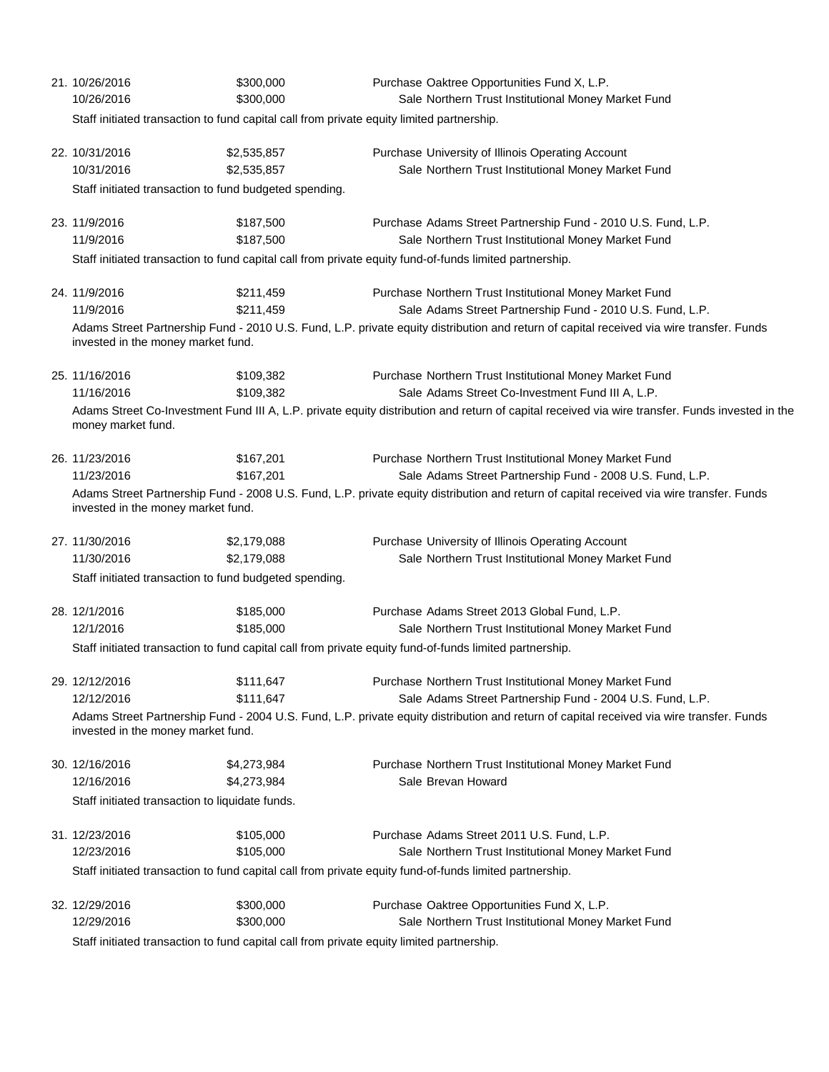| 21. 10/26/2016<br>10/26/2016                                                                                                                                                                                                                                                                                                                                     | \$300,000<br>\$300,000     | Purchase Oaktree Opportunities Fund X, L.P.<br>Sale Northern Trust Institutional Money Market Fund                                                                                                                                                               |  |  |
|------------------------------------------------------------------------------------------------------------------------------------------------------------------------------------------------------------------------------------------------------------------------------------------------------------------------------------------------------------------|----------------------------|------------------------------------------------------------------------------------------------------------------------------------------------------------------------------------------------------------------------------------------------------------------|--|--|
| Staff initiated transaction to fund capital call from private equity limited partnership.                                                                                                                                                                                                                                                                        |                            |                                                                                                                                                                                                                                                                  |  |  |
| 22. 10/31/2016<br>10/31/2016                                                                                                                                                                                                                                                                                                                                     | \$2,535,857<br>\$2,535,857 | Purchase University of Illinois Operating Account<br>Sale Northern Trust Institutional Money Market Fund                                                                                                                                                         |  |  |
| Staff initiated transaction to fund budgeted spending.                                                                                                                                                                                                                                                                                                           |                            |                                                                                                                                                                                                                                                                  |  |  |
| 23. 11/9/2016<br>11/9/2016                                                                                                                                                                                                                                                                                                                                       | \$187,500<br>\$187,500     | Purchase Adams Street Partnership Fund - 2010 U.S. Fund, L.P.<br>Sale Northern Trust Institutional Money Market Fund<br>Staff initiated transaction to fund capital call from private equity fund-of-funds limited partnership.                                  |  |  |
|                                                                                                                                                                                                                                                                                                                                                                  |                            |                                                                                                                                                                                                                                                                  |  |  |
| 24. 11/9/2016<br>11/9/2016                                                                                                                                                                                                                                                                                                                                       | \$211,459<br>\$211,459     | Purchase Northern Trust Institutional Money Market Fund<br>Sale Adams Street Partnership Fund - 2010 U.S. Fund, L.P.<br>Adams Street Partnership Fund - 2010 U.S. Fund, L.P. private equity distribution and return of capital received via wire transfer. Funds |  |  |
| invested in the money market fund.                                                                                                                                                                                                                                                                                                                               |                            |                                                                                                                                                                                                                                                                  |  |  |
| 25. 11/16/2016<br>11/16/2016<br>money market fund.                                                                                                                                                                                                                                                                                                               | \$109,382<br>\$109,382     | Purchase Northern Trust Institutional Money Market Fund<br>Sale Adams Street Co-Investment Fund III A, L.P.<br>Adams Street Co-Investment Fund III A, L.P. private equity distribution and return of capital received via wire transfer. Funds invested in the   |  |  |
| 26. 11/23/2016<br>11/23/2016<br>invested in the money market fund.                                                                                                                                                                                                                                                                                               | \$167,201<br>\$167,201     | Purchase Northern Trust Institutional Money Market Fund<br>Sale Adams Street Partnership Fund - 2008 U.S. Fund, L.P.<br>Adams Street Partnership Fund - 2008 U.S. Fund, L.P. private equity distribution and return of capital received via wire transfer. Funds |  |  |
| 27. 11/30/2016<br>11/30/2016                                                                                                                                                                                                                                                                                                                                     | \$2,179,088<br>\$2,179,088 | Purchase University of Illinois Operating Account<br>Sale Northern Trust Institutional Money Market Fund                                                                                                                                                         |  |  |
| Staff initiated transaction to fund budgeted spending.                                                                                                                                                                                                                                                                                                           |                            |                                                                                                                                                                                                                                                                  |  |  |
| 28. 12/1/2016<br>12/1/2016                                                                                                                                                                                                                                                                                                                                       | \$185,000<br>\$185,000     | Purchase Adams Street 2013 Global Fund, L.P.<br>Sale Northern Trust Institutional Money Market Fund<br>Staff initiated transaction to fund capital call from private equity fund-of-funds limited partnership.                                                   |  |  |
|                                                                                                                                                                                                                                                                                                                                                                  |                            |                                                                                                                                                                                                                                                                  |  |  |
| 29. 12/12/2016<br>\$111,647<br>Purchase Northern Trust Institutional Money Market Fund<br>12/12/2016<br>\$111,647<br>Sale Adams Street Partnership Fund - 2004 U.S. Fund, L.P.<br>Adams Street Partnership Fund - 2004 U.S. Fund, L.P. private equity distribution and return of capital received via wire transfer. Funds<br>invested in the money market fund. |                            |                                                                                                                                                                                                                                                                  |  |  |
| 30. 12/16/2016<br>12/16/2016<br>Staff initiated transaction to liquidate funds.                                                                                                                                                                                                                                                                                  | \$4,273,984<br>\$4,273,984 | Purchase Northern Trust Institutional Money Market Fund<br>Sale Brevan Howard                                                                                                                                                                                    |  |  |
| 31. 12/23/2016<br>12/23/2016                                                                                                                                                                                                                                                                                                                                     | \$105,000<br>\$105,000     | Purchase Adams Street 2011 U.S. Fund, L.P.<br>Sale Northern Trust Institutional Money Market Fund<br>Staff initiated transaction to fund capital call from private equity fund-of-funds limited partnership.                                                     |  |  |
| 32. 12/29/2016<br>12/29/2016<br>iff initiated transposition to fun                                                                                                                                                                                                                                                                                               | \$300,000<br>\$300,000     | Purchase Oaktree Opportunities Fund X, L.P.<br>Sale Northern Trust Institutional Money Market Fund<br>d conital coll from private couring limited portagenhis                                                                                                    |  |  |

Staff initiated transaction to fund capital call from private equity limited partnership.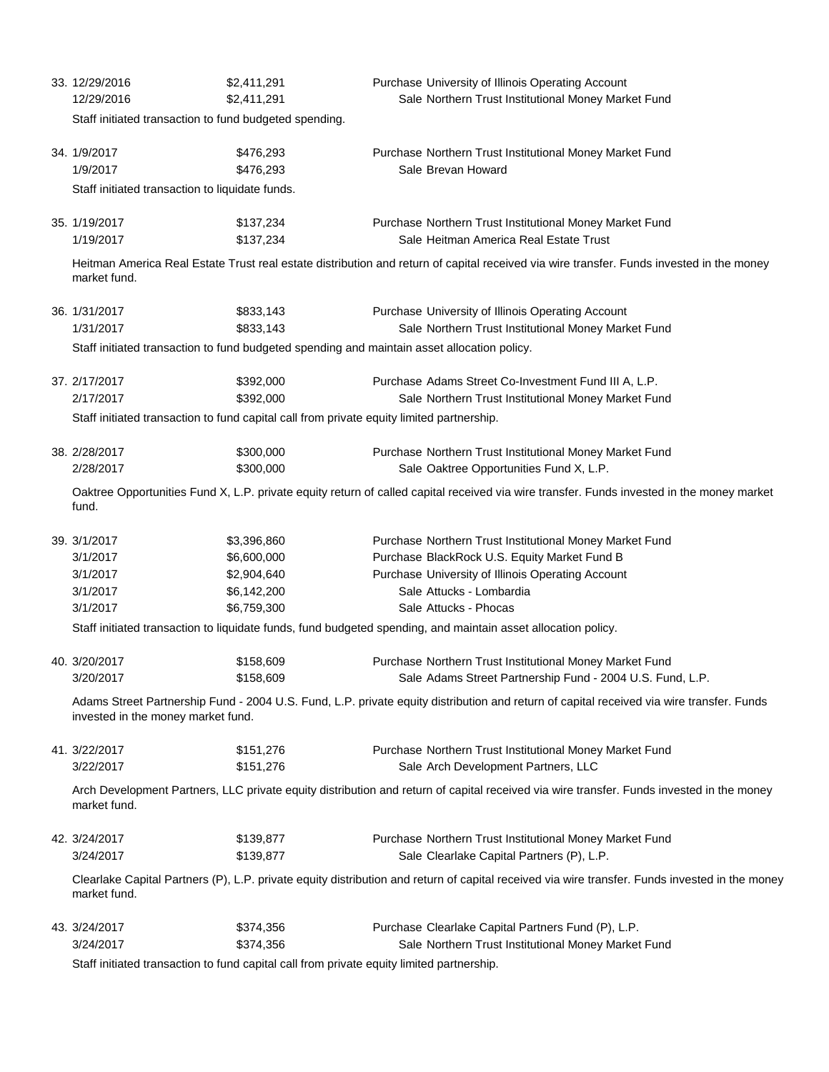| 33. 12/29/2016<br>12/29/2016                                                                                                                                                   | \$2,411,291<br>\$2,411,291                                                                | Purchase University of Illinois Operating Account<br>Sale Northern Trust Institutional Money Market Fund                                       |  |  |  |
|--------------------------------------------------------------------------------------------------------------------------------------------------------------------------------|-------------------------------------------------------------------------------------------|------------------------------------------------------------------------------------------------------------------------------------------------|--|--|--|
|                                                                                                                                                                                | Staff initiated transaction to fund budgeted spending.                                    |                                                                                                                                                |  |  |  |
| 34. 1/9/2017<br>1/9/2017                                                                                                                                                       | \$476,293<br>\$476,293                                                                    | Purchase Northern Trust Institutional Money Market Fund<br>Sale Brevan Howard                                                                  |  |  |  |
| Staff initiated transaction to liquidate funds.                                                                                                                                |                                                                                           |                                                                                                                                                |  |  |  |
| 35. 1/19/2017<br>1/19/2017                                                                                                                                                     | \$137,234<br>\$137,234                                                                    | Purchase Northern Trust Institutional Money Market Fund<br>Sale Heitman America Real Estate Trust                                              |  |  |  |
| Heitman America Real Estate Trust real estate distribution and return of capital received via wire transfer. Funds invested in the money<br>market fund.                       |                                                                                           |                                                                                                                                                |  |  |  |
| 36. 1/31/2017<br>1/31/2017                                                                                                                                                     | \$833,143<br>\$833,143                                                                    | Purchase University of Illinois Operating Account<br>Sale Northern Trust Institutional Money Market Fund                                       |  |  |  |
| Staff initiated transaction to fund budgeted spending and maintain asset allocation policy.                                                                                    |                                                                                           |                                                                                                                                                |  |  |  |
| 37. 2/17/2017<br>2/17/2017                                                                                                                                                     | \$392,000<br>\$392,000                                                                    | Purchase Adams Street Co-Investment Fund III A, L.P.<br>Sale Northern Trust Institutional Money Market Fund                                    |  |  |  |
|                                                                                                                                                                                | Staff initiated transaction to fund capital call from private equity limited partnership. |                                                                                                                                                |  |  |  |
| 38. 2/28/2017<br>2/28/2017                                                                                                                                                     | \$300,000<br>\$300,000                                                                    | Purchase Northern Trust Institutional Money Market Fund<br>Sale Oaktree Opportunities Fund X, L.P.                                             |  |  |  |
| Oaktree Opportunities Fund X, L.P. private equity return of called capital received via wire transfer. Funds invested in the money market<br>fund.                             |                                                                                           |                                                                                                                                                |  |  |  |
| 39. 3/1/2017<br>3/1/2017                                                                                                                                                       | \$3,396,860<br>\$6,600,000                                                                | Purchase Northern Trust Institutional Money Market Fund<br>Purchase BlackRock U.S. Equity Market Fund B                                        |  |  |  |
| 3/1/2017                                                                                                                                                                       | \$2,904,640                                                                               | Purchase University of Illinois Operating Account                                                                                              |  |  |  |
| 3/1/2017                                                                                                                                                                       | \$6,142,200                                                                               | Sale Attucks - Lombardia                                                                                                                       |  |  |  |
| 3/1/2017                                                                                                                                                                       | \$6,759,300                                                                               | Sale Attucks - Phocas                                                                                                                          |  |  |  |
|                                                                                                                                                                                |                                                                                           | Staff initiated transaction to liquidate funds, fund budgeted spending, and maintain asset allocation policy.                                  |  |  |  |
| 40. 3/20/2017<br>3/20/2017                                                                                                                                                     | \$158,609<br>\$158,609                                                                    | Purchase Northern Trust Institutional Money Market Fund<br>Sale Adams Street Partnership Fund - 2004 U.S. Fund, L.P                            |  |  |  |
| Adams Street Partnership Fund - 2004 U.S. Fund, L.P. private equity distribution and return of capital received via wire transfer. Funds<br>invested in the money market fund. |                                                                                           |                                                                                                                                                |  |  |  |
| 41. 3/22/2017<br>3/22/2017                                                                                                                                                     | \$151,276<br>\$151,276                                                                    | Purchase Northern Trust Institutional Money Market Fund<br>Sale Arch Development Partners, LLC                                                 |  |  |  |
| Arch Development Partners, LLC private equity distribution and return of capital received via wire transfer. Funds invested in the money<br>market fund.                       |                                                                                           |                                                                                                                                                |  |  |  |
| 42. 3/24/2017<br>3/24/2017                                                                                                                                                     | \$139,877<br>\$139,877                                                                    | Purchase Northern Trust Institutional Money Market Fund<br>Sale Clearlake Capital Partners (P), L.P.                                           |  |  |  |
| market fund.                                                                                                                                                                   |                                                                                           | Clearlake Capital Partners (P), L.P. private equity distribution and return of capital received via wire transfer. Funds invested in the money |  |  |  |
| 43. 3/24/2017                                                                                                                                                                  | \$374,356                                                                                 | Purchase Clearlake Capital Partners Fund (P), L.P.                                                                                             |  |  |  |
| 3/24/2017                                                                                                                                                                      | \$374,356                                                                                 | Sale Northern Trust Institutional Money Market Fund                                                                                            |  |  |  |

Staff initiated transaction to fund capital call from private equity limited partnership.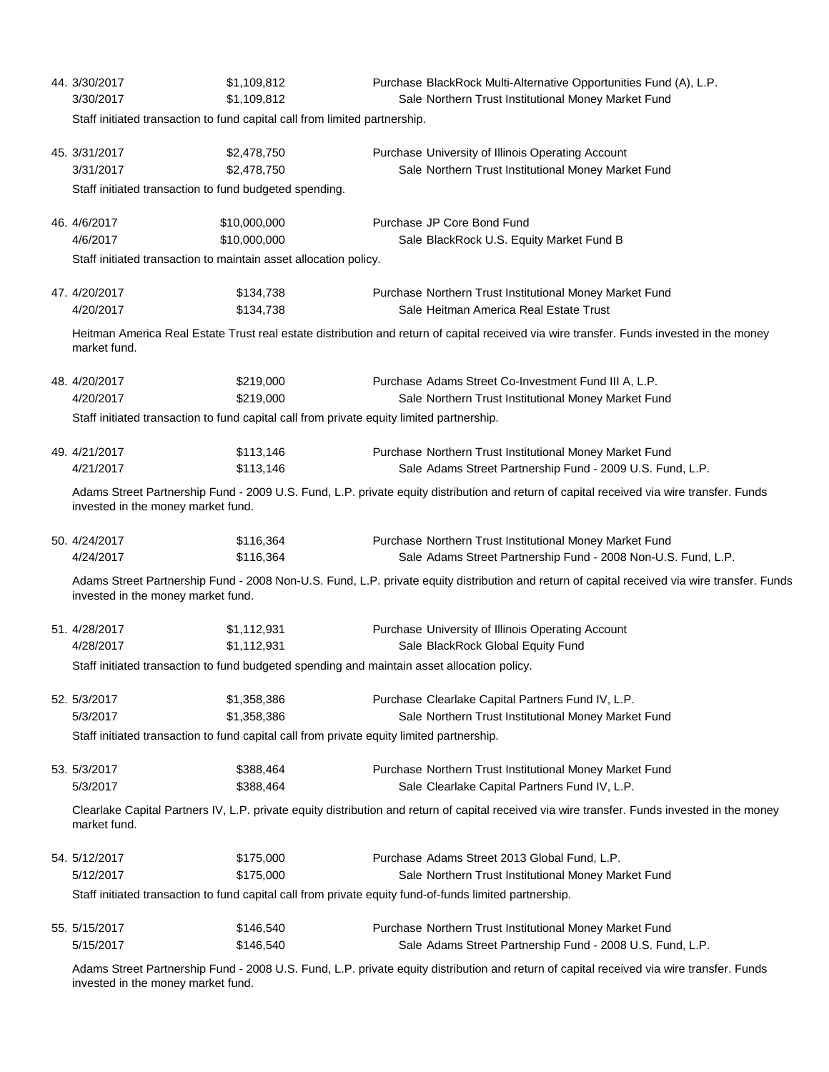|                                                                                                                                                          | 44. 3/30/2017<br>3/30/2017                                                                                                                                                     | \$1,109,812<br>\$1,109,812                                                                       | Purchase BlackRock Multi-Alternative Opportunities Fund (A), L.P.<br>Sale Northern Trust Institutional Money Market Fund                     |  |  |
|----------------------------------------------------------------------------------------------------------------------------------------------------------|--------------------------------------------------------------------------------------------------------------------------------------------------------------------------------|--------------------------------------------------------------------------------------------------|----------------------------------------------------------------------------------------------------------------------------------------------|--|--|
|                                                                                                                                                          | Staff initiated transaction to fund capital call from limited partnership.                                                                                                     |                                                                                                  |                                                                                                                                              |  |  |
|                                                                                                                                                          | 45. 3/31/2017<br>3/31/2017<br>Staff initiated transaction to fund budgeted spending.                                                                                           | \$2,478,750<br>\$2,478,750                                                                       | Purchase University of Illinois Operating Account<br>Sale Northern Trust Institutional Money Market Fund                                     |  |  |
|                                                                                                                                                          |                                                                                                                                                                                |                                                                                                  |                                                                                                                                              |  |  |
|                                                                                                                                                          | 46. 4/6/2017<br>4/6/2017                                                                                                                                                       | \$10,000,000<br>\$10,000,000<br>Staff initiated transaction to maintain asset allocation policy. | Purchase JP Core Bond Fund<br>Sale BlackRock U.S. Equity Market Fund B                                                                       |  |  |
|                                                                                                                                                          |                                                                                                                                                                                |                                                                                                  |                                                                                                                                              |  |  |
|                                                                                                                                                          | 47. 4/20/2017<br>4/20/2017                                                                                                                                                     | \$134,738<br>\$134,738                                                                           | Purchase Northern Trust Institutional Money Market Fund<br>Sale Heitman America Real Estate Trust                                            |  |  |
| Heitman America Real Estate Trust real estate distribution and return of capital received via wire transfer. Funds invested in the money<br>market fund. |                                                                                                                                                                                |                                                                                                  |                                                                                                                                              |  |  |
|                                                                                                                                                          | 48. 4/20/2017                                                                                                                                                                  | \$219,000                                                                                        | Purchase Adams Street Co-Investment Fund III A, L.P.                                                                                         |  |  |
|                                                                                                                                                          | 4/20/2017                                                                                                                                                                      | \$219,000                                                                                        | Sale Northern Trust Institutional Money Market Fund                                                                                          |  |  |
|                                                                                                                                                          |                                                                                                                                                                                | Staff initiated transaction to fund capital call from private equity limited partnership.        |                                                                                                                                              |  |  |
|                                                                                                                                                          | 49. 4/21/2017<br>4/21/2017                                                                                                                                                     | \$113,146<br>\$113,146                                                                           | Purchase Northern Trust Institutional Money Market Fund<br>Sale Adams Street Partnership Fund - 2009 U.S. Fund, L.P.                         |  |  |
|                                                                                                                                                          | Adams Street Partnership Fund - 2009 U.S. Fund, L.P. private equity distribution and return of capital received via wire transfer. Funds<br>invested in the money market fund. |                                                                                                  |                                                                                                                                              |  |  |
|                                                                                                                                                          | 50. 4/24/2017<br>4/24/2017                                                                                                                                                     | \$116,364<br>\$116,364                                                                           | Purchase Northern Trust Institutional Money Market Fund<br>Sale Adams Street Partnership Fund - 2008 Non-U.S. Fund, L.P.                     |  |  |
|                                                                                                                                                          | invested in the money market fund.                                                                                                                                             |                                                                                                  | Adams Street Partnership Fund - 2008 Non-U.S. Fund, L.P. private equity distribution and return of capital received via wire transfer. Funds |  |  |
|                                                                                                                                                          | 51.4/28/2017                                                                                                                                                                   | \$1,112,931                                                                                      | Purchase University of Illinois Operating Account                                                                                            |  |  |
|                                                                                                                                                          | 4/28/2017                                                                                                                                                                      | \$1,112,931                                                                                      | Sale BlackRock Global Equity Fund                                                                                                            |  |  |
|                                                                                                                                                          | Staff initiated transaction to fund budgeted spending and maintain asset allocation policy.                                                                                    |                                                                                                  |                                                                                                                                              |  |  |
|                                                                                                                                                          | 52. 5/3/2017<br>5/3/2017                                                                                                                                                       | \$1,358,386<br>\$1,358,386                                                                       | Purchase Clearlake Capital Partners Fund IV, L.P.<br>Sale Northern Trust Institutional Money Market Fund                                     |  |  |
|                                                                                                                                                          | Staff initiated transaction to fund capital call from private equity limited partnership.                                                                                      |                                                                                                  |                                                                                                                                              |  |  |
|                                                                                                                                                          | 53. 5/3/2017                                                                                                                                                                   | \$388,464                                                                                        | Purchase Northern Trust Institutional Money Market Fund                                                                                      |  |  |
|                                                                                                                                                          | 5/3/2017                                                                                                                                                                       | \$388,464                                                                                        | Sale Clearlake Capital Partners Fund IV, L.P.                                                                                                |  |  |
|                                                                                                                                                          | Clearlake Capital Partners IV, L.P. private equity distribution and return of capital received via wire transfer. Funds invested in the money<br>market fund.                  |                                                                                                  |                                                                                                                                              |  |  |
|                                                                                                                                                          | 54. 5/12/2017<br>5/12/2017                                                                                                                                                     | \$175,000<br>\$175,000                                                                           | Purchase Adams Street 2013 Global Fund, L.P.<br>Sale Northern Trust Institutional Money Market Fund                                          |  |  |
|                                                                                                                                                          | Staff initiated transaction to fund capital call from private equity fund-of-funds limited partnership.                                                                        |                                                                                                  |                                                                                                                                              |  |  |
|                                                                                                                                                          | 55. 5/15/2017                                                                                                                                                                  | \$146,540                                                                                        | Purchase Northern Trust Institutional Money Market Fund                                                                                      |  |  |
|                                                                                                                                                          | 5/15/2017                                                                                                                                                                      | \$146,540                                                                                        | Sale Adams Street Partnership Fund - 2008 U.S. Fund, L.P.                                                                                    |  |  |

Adams Street Partnership Fund - 2008 U.S. Fund, L.P. private equity distribution and return of capital received via wire transfer. Funds invested in the money market fund.